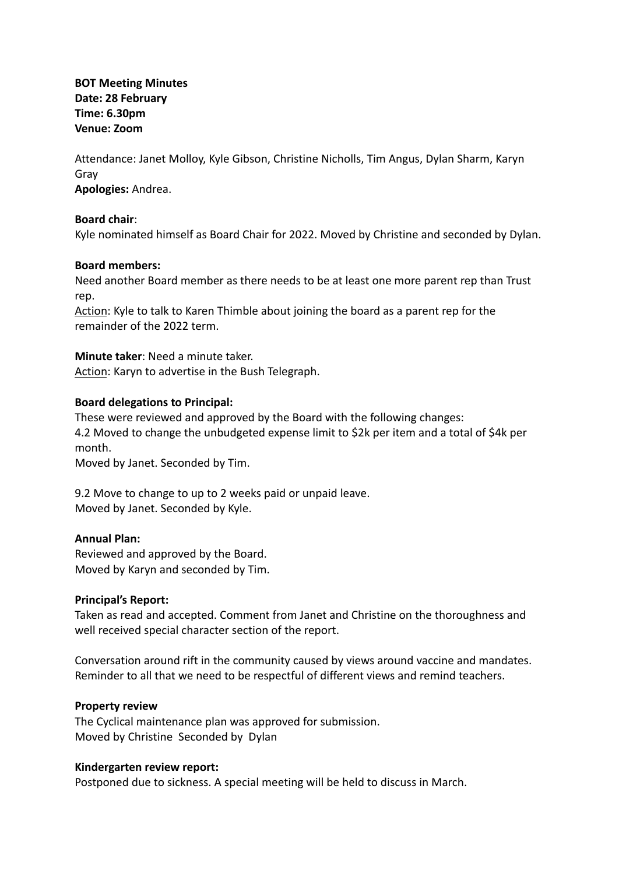**BOT Meeting Minutes Date: 28 February Time: 6.30pm Venue: Zoom**

Attendance: Janet Molloy, Kyle Gibson, Christine Nicholls, Tim Angus, Dylan Sharm, Karyn Gray **Apologies:** Andrea.

### **Board chair**:

Kyle nominated himself as Board Chair for 2022. Moved by Christine and seconded by Dylan.

### **Board members:**

Need another Board member as there needs to be at least one more parent rep than Trust rep.

Action: Kyle to talk to Karen Thimble about joining the board as a parent rep for the remainder of the 2022 term.

### **Minute taker**: Need a minute taker.

Action: Karyn to advertise in the Bush Telegraph.

### **Board delegations to Principal:**

These were reviewed and approved by the Board with the following changes: 4.2 Moved to change the unbudgeted expense limit to \$2k per item and a total of \$4k per month.

Moved by Janet. Seconded by Tim.

9.2 Move to change to up to 2 weeks paid or unpaid leave. Moved by Janet. Seconded by Kyle.

## **Annual Plan:**

Reviewed and approved by the Board. Moved by Karyn and seconded by Tim.

## **Principal's Report:**

Taken as read and accepted. Comment from Janet and Christine on the thoroughness and well received special character section of the report.

Conversation around rift in the community caused by views around vaccine and mandates. Reminder to all that we need to be respectful of different views and remind teachers.

#### **Property review**

The Cyclical maintenance plan was approved for submission. Moved by Christine Seconded by Dylan

#### **Kindergarten review report:**

Postponed due to sickness. A special meeting will be held to discuss in March.